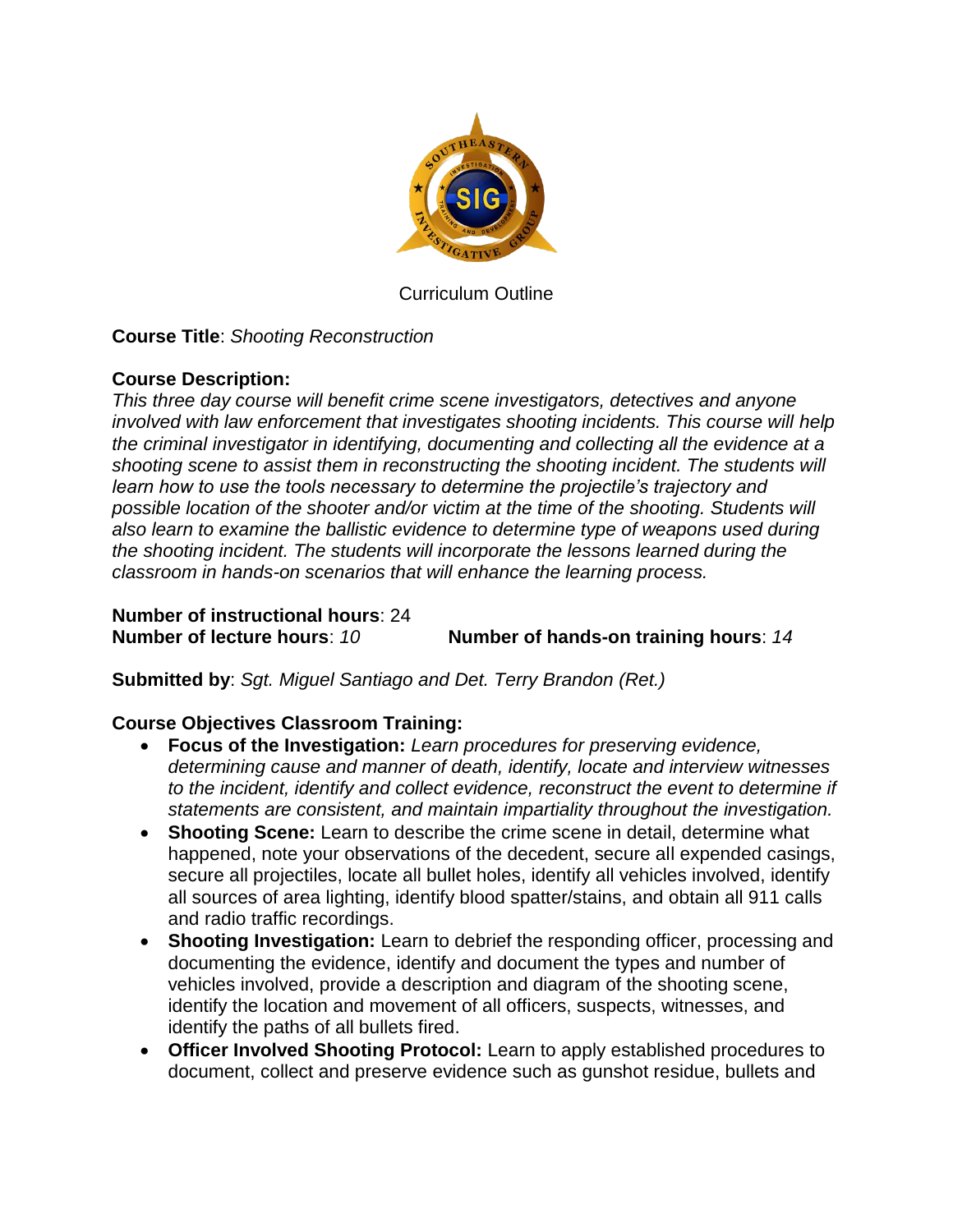

Curriculum Outline

**Course Title**: *Shooting Reconstruction*

## **Course Description:**

*This three day course will benefit crime scene investigators, detectives and anyone involved with law enforcement that investigates shooting incidents. This course will help the criminal investigator in identifying, documenting and collecting all the evidence at a shooting scene to assist them in reconstructing the shooting incident. The students will learn how to use the tools necessary to determine the projectile's trajectory and possible location of the shooter and/or victim at the time of the shooting. Students will also learn to examine the ballistic evidence to determine type of weapons used during the shooting incident. The students will incorporate the lessons learned during the classroom in hands-on scenarios that will enhance the learning process.*

**Number of instructional hours**: 24

**Number of lecture hours**: *10* **Number of hands-on training hours**: *14*

**Submitted by**: *Sgt. Miguel Santiago and Det. Terry Brandon (Ret.)*

## **Course Objectives Classroom Training:**

- **Focus of the Investigation:** *Learn procedures for preserving evidence, determining cause and manner of death, identify, locate and interview witnesses to the incident, identify and collect evidence, reconstruct the event to determine if statements are consistent, and maintain impartiality throughout the investigation.*
- **Shooting Scene:** Learn to describe the crime scene in detail, determine what happened, note your observations of the decedent, secure all expended casings, secure all projectiles, locate all bullet holes, identify all vehicles involved, identify all sources of area lighting, identify blood spatter/stains, and obtain all 911 calls and radio traffic recordings.
- **Shooting Investigation:** Learn to debrief the responding officer, processing and documenting the evidence, identify and document the types and number of vehicles involved, provide a description and diagram of the shooting scene, identify the location and movement of all officers, suspects, witnesses, and identify the paths of all bullets fired.
- **Officer Involved Shooting Protocol:** Learn to apply established procedures to document, collect and preserve evidence such as gunshot residue, bullets and